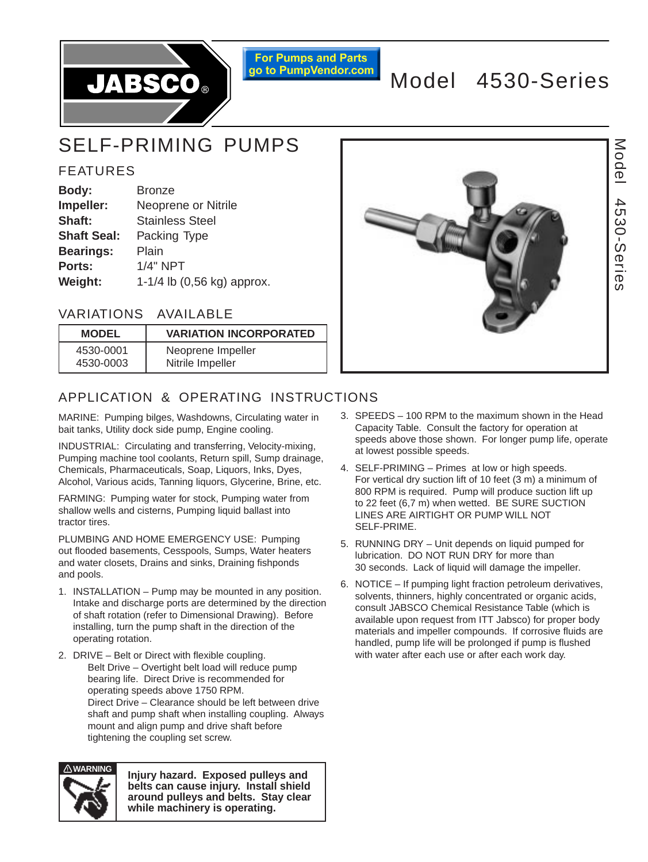

**For Pumps and Parts** go to PumpVendor.com

# Model 4530-Series

# SELF-PRIMING PUMPS

# FEATURES

| Body:              | <b>Bronze</b>              |
|--------------------|----------------------------|
| Impeller:          | Neoprene or Nitrile        |
| Shaft:             | <b>Stainless Steel</b>     |
| <b>Shaft Seal:</b> | Packing Type               |
| <b>Bearings:</b>   | Plain                      |
| <b>Ports:</b>      | <b>1/4" NPT</b>            |
| Weight:            | 1-1/4 lb (0,56 kg) approx. |

# VARIATIONS AVAILABLE

| <b>MODEL</b> | <b>VARIATION INCORPORATED</b> |
|--------------|-------------------------------|
| 4530-0001    | Neoprene Impeller             |
| 4530-0003    | Nitrile Impeller              |



# APPLICATION & OPERATING INSTRUCTIONS

MARINE: Pumping bilges, Washdowns, Circulating water in bait tanks, Utility dock side pump, Engine cooling.

INDUSTRIAL: Circulating and transferring, Velocity-mixing, Pumping machine tool coolants, Return spill, Sump drainage, Chemicals, Pharmaceuticals, Soap, Liquors, Inks, Dyes, Alcohol, Various acids, Tanning liquors, Glycerine, Brine, etc.

FARMING: Pumping water for stock, Pumping water from shallow wells and cisterns, Pumping liquid ballast into tractor tires.

PLUMBING AND HOME EMERGENCY USE: Pumping out flooded basements, Cesspools, Sumps, Water heaters and water closets, Drains and sinks, Draining fishponds and pools.

- 1. INSTALLATION Pump may be mounted in any position. Intake and discharge ports are determined by the direction of shaft rotation (refer to Dimensional Drawing). Before installing, turn the pump shaft in the direction of the operating rotation.
- 2. DRIVE Belt or Direct with flexible coupling. Belt Drive – Overtight belt load will reduce pump bearing life. Direct Drive is recommended for operating speeds above 1750 RPM. Direct Drive – Clearance should be left between drive shaft and pump shaft when installing coupling. Always mount and align pump and drive shaft before tightening the coupling set screw.



**Injury hazard. Exposed pulleys and belts can cause injury. Install shield around pulleys and belts. Stay clear while machinery is operating.**

- 3. SPEEDS 100 RPM to the maximum shown in the Head Capacity Table. Consult the factory for operation at speeds above those shown. For longer pump life, operate at lowest possible speeds.
- 4. SELF-PRIMING Primes at low or high speeds. For vertical dry suction lift of 10 feet (3 m) a minimum of 800 RPM is required. Pump will produce suction lift up to 22 feet (6,7 m) when wetted. BE SURE SUCTION LINES ARE AIRTIGHT OR PUMP WILL NOT SELF-PRIME.
- 5. RUNNING DRY Unit depends on liquid pumped for lubrication. DO NOT RUN DRY for more than 30 seconds. Lack of liquid will damage the impeller.
- 6. NOTICE If pumping light fraction petroleum derivatives, solvents, thinners, highly concentrated or organic acids, consult JABSCO Chemical Resistance Table (which is available upon request from ITT Jabsco) for proper body materials and impeller compounds. If corrosive fluids are handled, pump life will be prolonged if pump is flushed with water after each use or after each work day.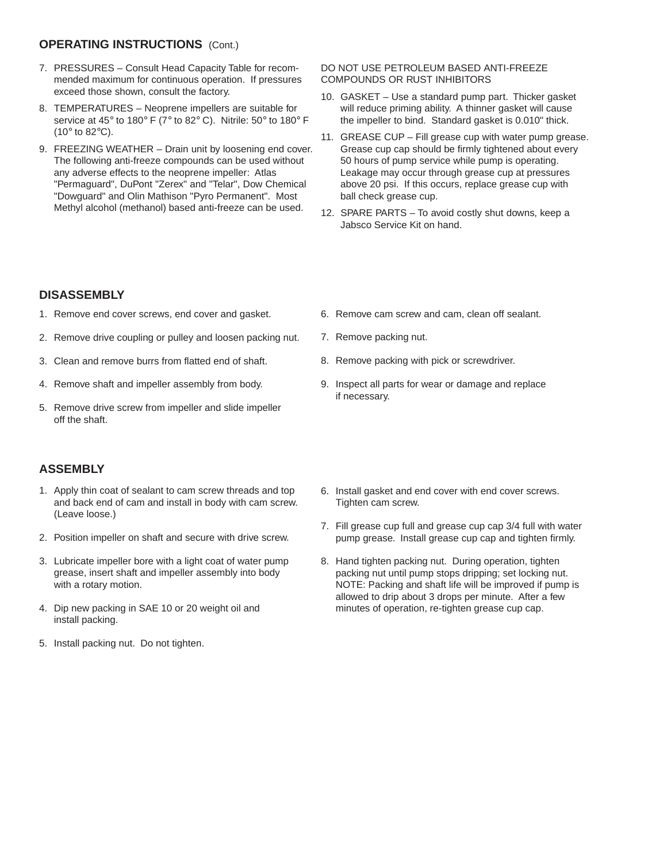#### **OPERATING INSTRUCTIONS** (Cont.)

- 7. PRESSURES Consult Head Capacity Table for recommended maximum for continuous operation. If pressures exceed those shown, consult the factory.
- 8. TEMPERATURES Neoprene impellers are suitable for service at 45° to 180° F (7° to 82° C). Nitrile: 50° to 180° F (10° to 82°C).
- 9. FREEZING WEATHER Drain unit by loosening end cover. The following anti-freeze compounds can be used without any adverse effects to the neoprene impeller: Atlas "Permaguard", DuPont "Zerex" and "Telar", Dow Chemical "Dowguard" and Olin Mathison "Pyro Permanent". Most Methyl alcohol (methanol) based anti-freeze can be used.

#### DO NOT USE PETROLEUM BASED ANTI-FREEZE COMPOUNDS OR RUST INHIBITORS

- 10. GASKET Use a standard pump part. Thicker gasket will reduce priming ability. A thinner gasket will cause the impeller to bind. Standard gasket is 0.010" thick.
- 11. GREASE CUP Fill grease cup with water pump grease. Grease cup cap should be firmly tightened about every 50 hours of pump service while pump is operating. Leakage may occur through grease cup at pressures above 20 psi. If this occurs, replace grease cup with ball check grease cup.
- 12. SPARE PARTS To avoid costly shut downs, keep a Jabsco Service Kit on hand.

#### **DISASSEMBLY**

- 1. Remove end cover screws, end cover and gasket.
- 2. Remove drive coupling or pulley and loosen packing nut.
- 3. Clean and remove burrs from flatted end of shaft.
- 4. Remove shaft and impeller assembly from body.
- 5. Remove drive screw from impeller and slide impeller off the shaft.

### **ASSEMBLY**

- 1. Apply thin coat of sealant to cam screw threads and top and back end of cam and install in body with cam screw. (Leave loose.)
- 2. Position impeller on shaft and secure with drive screw.
- 3. Lubricate impeller bore with a light coat of water pump grease, insert shaft and impeller assembly into body with a rotary motion.
- 4. Dip new packing in SAE 10 or 20 weight oil and install packing.
- 5. Install packing nut. Do not tighten.
- 6. Remove cam screw and cam, clean off sealant.
- 7. Remove packing nut.
- 8. Remove packing with pick or screwdriver.
- 9. Inspect all parts for wear or damage and replace if necessary.
- 6. Install gasket and end cover with end cover screws. Tighten cam screw.
- 7. Fill grease cup full and grease cup cap 3/4 full with water pump grease. Install grease cup cap and tighten firmly.
- 8. Hand tighten packing nut. During operation, tighten packing nut until pump stops dripping; set locking nut. NOTE: Packing and shaft life will be improved if pump is allowed to drip about 3 drops per minute. After a few minutes of operation, re-tighten grease cup cap.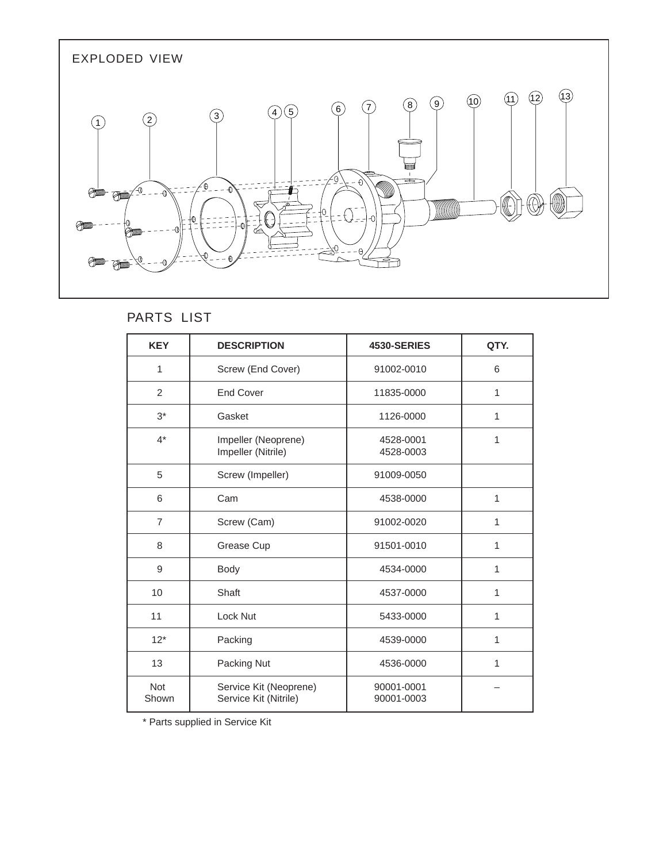

# PARTS LIST

| <b>KEY</b>          | <b>DESCRIPTION</b>                              | 4530-SERIES              | QTY. |
|---------------------|-------------------------------------------------|--------------------------|------|
| 1                   | Screw (End Cover)                               | 91002-0010               | 6    |
| 2                   | <b>End Cover</b>                                | 11835-0000               | 1    |
| $3^*$               | Gasket                                          | 1126-0000                | 1    |
| $4^*$               | Impeller (Neoprene)<br>Impeller (Nitrile)       | 4528-0001<br>4528-0003   | 1    |
| 5                   | Screw (Impeller)                                | 91009-0050               |      |
| 6                   | Cam                                             | 4538-0000                | 1    |
| $\overline{7}$      | Screw (Cam)                                     | 91002-0020               | 1    |
| 8                   | Grease Cup                                      | 91501-0010               | 1    |
| 9                   | Body                                            | 4534-0000                | 1    |
| 10                  | Shaft                                           | 4537-0000                | 1    |
| 11                  | Lock Nut                                        | 5433-0000                | 1    |
| $12*$               | Packing                                         | 4539-0000                | 1    |
| 13                  | Packing Nut                                     | 4536-0000                | 1    |
| <b>Not</b><br>Shown | Service Kit (Neoprene)<br>Service Kit (Nitrile) | 90001-0001<br>90001-0003 |      |

\* Parts supplied in Service Kit